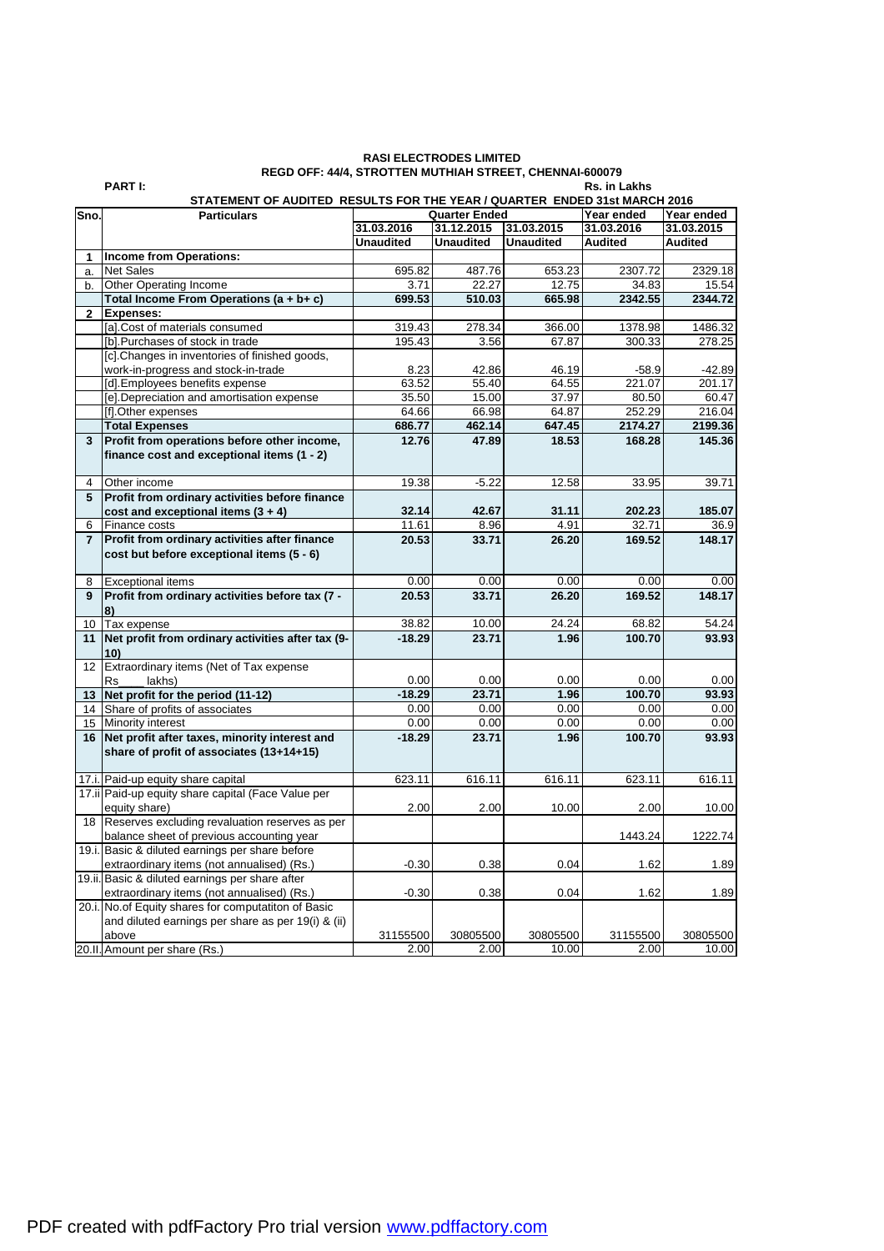|                         | PART I:<br>Rs. in Lakhs                             |                                                                           |                      |                  |            |            |  |  |
|-------------------------|-----------------------------------------------------|---------------------------------------------------------------------------|----------------------|------------------|------------|------------|--|--|
|                         |                                                     | STATEMENT OF AUDITED RESULTS FOR THE YEAR / QUARTER ENDED 31st MARCH 2016 |                      |                  |            |            |  |  |
| Sno.                    | <b>Particulars</b>                                  |                                                                           | <b>Quarter Ended</b> |                  | Year ended | Year ended |  |  |
|                         |                                                     | 31.03.2016                                                                | 31.12.2015           | 31.03.2015       | 31.03.2016 | 31.03.2015 |  |  |
|                         |                                                     | <b>Unaudited</b>                                                          | <b>Unaudited</b>     | <b>Unaudited</b> | Audited    | Audited    |  |  |
| 1                       | <b>Income from Operations:</b>                      |                                                                           |                      |                  |            |            |  |  |
| a.                      | <b>Net Sales</b>                                    | 695.82                                                                    | 487.76               | 653.23           | 2307.72    | 2329.18    |  |  |
| b.                      | Other Operating Income                              | 3.71                                                                      | 22.27                | 12.75            | 34.83      | 15.54      |  |  |
|                         | Total Income From Operations $(a + b + c)$          | 699.53                                                                    | 510.03               | 665.98           | 2342.55    | 2344.72    |  |  |
| $\overline{2}$          | <b>Expenses:</b>                                    |                                                                           |                      |                  |            |            |  |  |
|                         | [a].Cost of materials consumed                      | 319.43                                                                    | 278.34               | 366.00           | 1378.98    | 1486.32    |  |  |
|                         | [b].Purchases of stock in trade                     | 195.43                                                                    | 3.56                 | 67.87            | 300.33     | 278.25     |  |  |
|                         | [c]. Changes in inventories of finished goods,      |                                                                           |                      |                  |            |            |  |  |
|                         | work-in-progress and stock-in-trade                 | 8.23                                                                      | 42.86                | 46.19            | $-58.9$    | $-42.89$   |  |  |
|                         | [d].Employees benefits expense                      | 63.52                                                                     | 55.40                | 64.55            | 221.07     | 201.17     |  |  |
|                         | [e]. Depreciation and amortisation expense          | 35.50                                                                     | 15.00                | 37.97            | 80.50      | 60.47      |  |  |
|                         | [f].Other expenses                                  | 64.66                                                                     | 66.98                | 64.87            | 252.29     | 216.04     |  |  |
|                         | <b>Total Expenses</b>                               | 686.77                                                                    | 462.14               | 647.45           | 2174.27    | 2199.36    |  |  |
| $\overline{\mathbf{3}}$ | Profit from operations before other income,         | 12.76                                                                     | 47.89                | 18.53            | 168.28     | 145.36     |  |  |
|                         | finance cost and exceptional items (1 - 2)          |                                                                           |                      |                  |            |            |  |  |
|                         |                                                     |                                                                           |                      |                  |            |            |  |  |
| $\overline{4}$          | Other income                                        | 19.38                                                                     | $-5.22$              | 12.58            | 33.95      | 39.71      |  |  |
| 5                       | Profit from ordinary activities before finance      |                                                                           |                      |                  |            |            |  |  |
|                         | cost and exceptional items $(3 + 4)$                | 32.14                                                                     | 42.67                | 31.11            | 202.23     | 185.07     |  |  |
| 6                       | Finance costs                                       | 11.61                                                                     | 8.96                 | 4.91             | 32.71      | 36.9       |  |  |
| $\overline{7}$          | Profit from ordinary activities after finance       | 20.53                                                                     | 33.71                | 26.20            | 169.52     | 148.17     |  |  |
|                         | cost but before exceptional items (5 - 6)           |                                                                           |                      |                  |            |            |  |  |
|                         |                                                     |                                                                           |                      |                  |            |            |  |  |
| 8                       | <b>Exceptional items</b>                            | 0.00                                                                      | 0.00                 | 0.00             | 0.00       | 0.00       |  |  |
| 9                       | Profit from ordinary activities before tax (7 -     | 20.53                                                                     | 33.71                | 26.20            | 169.52     | 148.17     |  |  |
|                         | 8)                                                  |                                                                           |                      |                  |            |            |  |  |
| 10                      | Tax expense                                         | 38.82                                                                     | 10.00                | 24.24            | 68.82      | 54.24      |  |  |
| 11                      | Net profit from ordinary activities after tax (9-   | $-18.29$                                                                  | 23.71                | 1.96             | 100.70     | 93.93      |  |  |
|                         | 10)                                                 |                                                                           |                      |                  |            |            |  |  |
| 12                      | Extraordinary items (Net of Tax expense             |                                                                           |                      |                  |            |            |  |  |
|                         | lakhs)<br>Rs                                        | 0.00                                                                      | 0.00                 | 0.00             | 0.00       | 0.00       |  |  |
|                         | 13 Net profit for the period (11-12)                | $-18.29$                                                                  | 23.71                | 1.96             | 100.70     | 93.93      |  |  |
| 14                      | Share of profits of associates                      | 0.00                                                                      | 0.00                 | 0.00             | 0.00       | 0.00       |  |  |
|                         | 15 Minority interest                                | 0.00                                                                      | 0.00                 | 0.00             | 0.00       | 0.00       |  |  |
| 16                      | Net profit after taxes, minority interest and       | $-18.29$                                                                  | 23.71                | 1.96             | 100.70     | 93.93      |  |  |
|                         | share of profit of associates (13+14+15)            |                                                                           |                      |                  |            |            |  |  |
|                         |                                                     |                                                                           |                      |                  |            |            |  |  |
|                         | 17.i. Paid-up equity share capital                  | 623.11                                                                    | 616.11               | 616.11           | 623.11     | 616.11     |  |  |
|                         | 17.ii Paid-up equity share capital (Face Value per  |                                                                           |                      |                  |            |            |  |  |
|                         | equity share)                                       | 2.00                                                                      | 2.00                 | 10.00            | 2.00       | 10.00      |  |  |
| 18                      | Reserves excluding revaluation reserves as per      |                                                                           |                      |                  |            |            |  |  |
|                         | balance sheet of previous accounting year           |                                                                           |                      |                  | 1443.24    | 1222.74    |  |  |
|                         | 19.i. Basic & diluted earnings per share before     |                                                                           |                      |                  |            |            |  |  |
|                         | extraordinary items (not annualised) (Rs.)          | $-0.30$                                                                   | 0.38                 | 0.04             | 1.62       | 1.89       |  |  |
|                         | 19.ii. Basic & diluted earnings per share after     |                                                                           |                      |                  |            |            |  |  |
|                         | extraordinary items (not annualised) (Rs.)          | $-0.30$                                                                   | 0.38                 | 0.04             | 1.62       | 1.89       |  |  |
|                         | 20.i. No.of Equity shares for computatiton of Basic |                                                                           |                      |                  |            |            |  |  |
|                         | and diluted earnings per share as per 19(i) & (ii)  |                                                                           |                      |                  |            |            |  |  |
|                         | above                                               | 31155500                                                                  | 30805500             | 30805500         | 31155500   | 30805500   |  |  |
|                         | 20.II. Amount per share (Rs.)                       | $\overline{2}.00$                                                         | 2.00                 | 10.00            | 2.00       | 10.00      |  |  |

## **RASI ELECTRODES LIMITED REGD OFF: 44/4, STROTTEN MUTHIAH STREET, CHENNAI-600079**